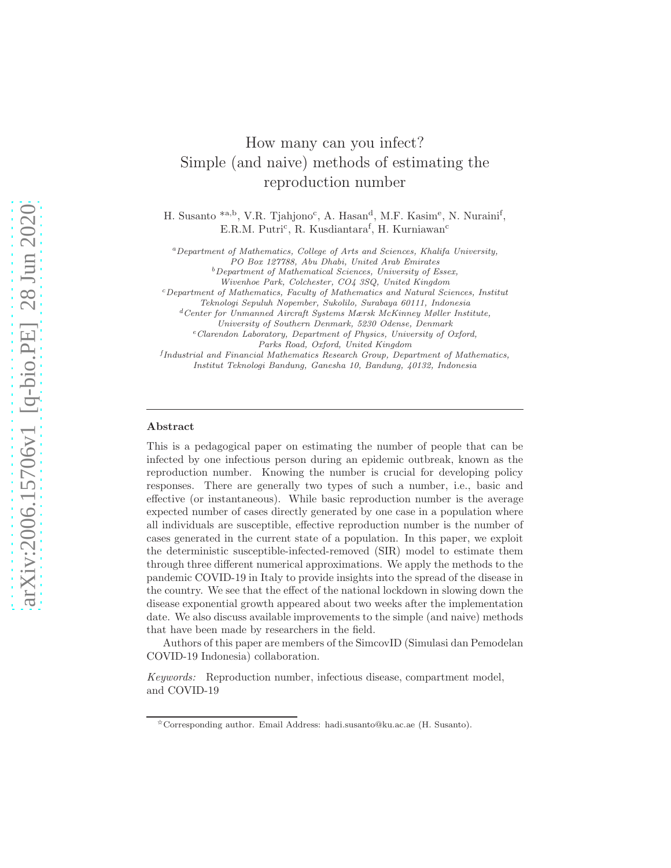# How many can you infect? Simple (and naive) methods of estimating the reproduction number

H. Susanto \*a,b, V.R. Tjahjono<sup>c</sup>, A. Hasan<sup>d</sup>, M.F. Kasim<sup>e</sup>, N. Nuraini<sup>f</sup>, E.R.M. Putri<sup>c</sup>, R. Kusdiantara<sup>f</sup>, H. Kurniawan<sup>c</sup>

<sup>a</sup>Department of Mathematics, College of Arts and Sciences, Khalifa University,

PO Box 127788, Abu Dhabi, United Arab Emirates

 $b$ Department of Mathematical Sciences, University of Essex,

Wivenhoe Park, Colchester, CO4 3SQ, United Kingdom

<sup>c</sup>Department of Mathematics, Faculty of Mathematics and Natural Sciences, Institut

Teknologi Sepuluh Nopember, Sukolilo, Surabaya 60111, Indonesia <sup>d</sup>Center for Unmanned Aircraft Systems Mærsk McKinney Møller Institute,

University of Southern Denmark, 5230 Odense, Denmark

<sup>e</sup>Clarendon Laboratory, Department of Physics, University of Oxford, Parks Road, Oxford, United Kingdom

<sup>f</sup>Industrial and Financial Mathematics Research Group, Department of Mathematics, Institut Teknologi Bandung, Ganesha 10, Bandung, 40132, Indonesia

## Abstract

This is a pedagogical paper on estimating the number of people that can be infected by one infectious person during an epidemic outbreak, known as the reproduction number. Knowing the number is crucial for developing policy responses. There are generally two types of such a number, i.e., basic and effective (or instantaneous). While basic reproduction number is the average expected number of cases directly generated by one case in a population where all individuals are susceptible, effective reproduction number is the number of cases generated in the current state of a population. In this paper, we exploit the deterministic susceptible-infected-removed (SIR) model to estimate them through three different numerical approximations. We apply the methods to the pandemic COVID-19 in Italy to provide insights into the spread of the disease in the country. We see that the effect of the national lockdown in slowing down the disease exponential growth appeared about two weeks after the implementation date. We also discuss available improvements to the simple (and naive) methods that have been made by researchers in the field.

Authors of this paper are members of the SimcovID (Simulasi dan Pemodelan COVID-19 Indonesia) collaboration.

Keywords: Reproduction number, infectious disease, compartment model, and COVID-19

<sup>✩</sup>Corresponding author. Email Address: hadi.susanto@ku.ac.ae (H. Susanto).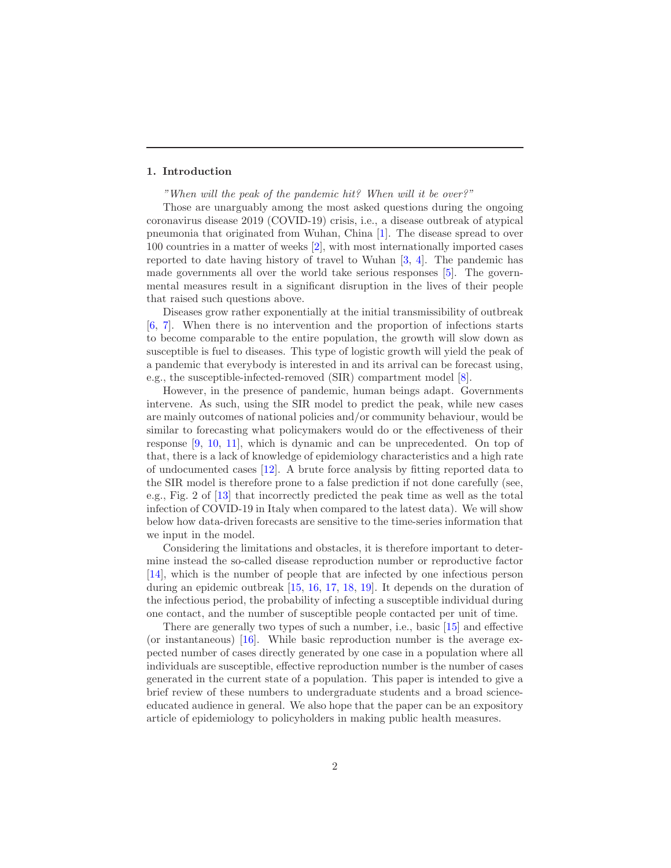# 1. Introduction

"When will the peak of the pandemic hit? When will it be over?"

Those are unarguably among the most asked questions during the ongoing coronavirus disease 2019 (COVID-19) crisis, i.e., a disease outbreak of atypical pneumonia that originated from Wuhan, China [\[1](#page-9-0)]. The disease spread to over 100 countries in a matter of weeks [\[2\]](#page-9-1), with most internationally imported cases reported to date having history of travel to Wuhan [\[3,](#page-9-2) [4\]](#page-9-3). The pandemic has made governments all over the world take serious responses [\[5\]](#page-9-4). The governmental measures result in a significant disruption in the lives of their people that raised such questions above.

Diseases grow rather exponentially at the initial transmissibility of outbreak [\[6,](#page-9-5) [7\]](#page-10-0). When there is no intervention and the proportion of infections starts to become comparable to the entire population, the growth will slow down as susceptible is fuel to diseases. This type of logistic growth will yield the peak of a pandemic that everybody is interested in and its arrival can be forecast using, e.g., the susceptible-infected-removed (SIR) compartment model [\[8\]](#page-10-1).

However, in the presence of pandemic, human beings adapt. Governments intervene. As such, using the SIR model to predict the peak, while new cases are mainly outcomes of national policies and/or community behaviour, would be similar to forecasting what policymakers would do or the effectiveness of their response [\[9,](#page-10-2) [10,](#page-10-3) [11](#page-10-4)], which is dynamic and can be unprecedented. On top of that, there is a lack of knowledge of epidemiology characteristics and a high rate of undocumented cases [\[12\]](#page-10-5). A brute force analysis by fitting reported data to the SIR model is therefore prone to a false prediction if not done carefully (see, e.g., Fig. 2 of [\[13](#page-10-6)] that incorrectly predicted the peak time as well as the total infection of COVID-19 in Italy when compared to the latest data). We will show below how data-driven forecasts are sensitive to the time-series information that we input in the model.

Considering the limitations and obstacles, it is therefore important to determine instead the so-called disease reproduction number or reproductive factor [\[14\]](#page-10-7), which is the number of people that are infected by one infectious person during an epidemic outbreak [\[15](#page-10-8), [16](#page-10-9), [17](#page-10-10), [18](#page-10-11), [19](#page-11-0)]. It depends on the duration of the infectious period, the probability of infecting a susceptible individual during one contact, and the number of susceptible people contacted per unit of time.

There are generally two types of such a number, i.e., basic [\[15](#page-10-8)] and effective (or instantaneous)  $[16]$ . While basic reproduction number is the average expected number of cases directly generated by one case in a population where all individuals are susceptible, effective reproduction number is the number of cases generated in the current state of a population. This paper is intended to give a brief review of these numbers to undergraduate students and a broad scienceeducated audience in general. We also hope that the paper can be an expository article of epidemiology to policyholders in making public health measures.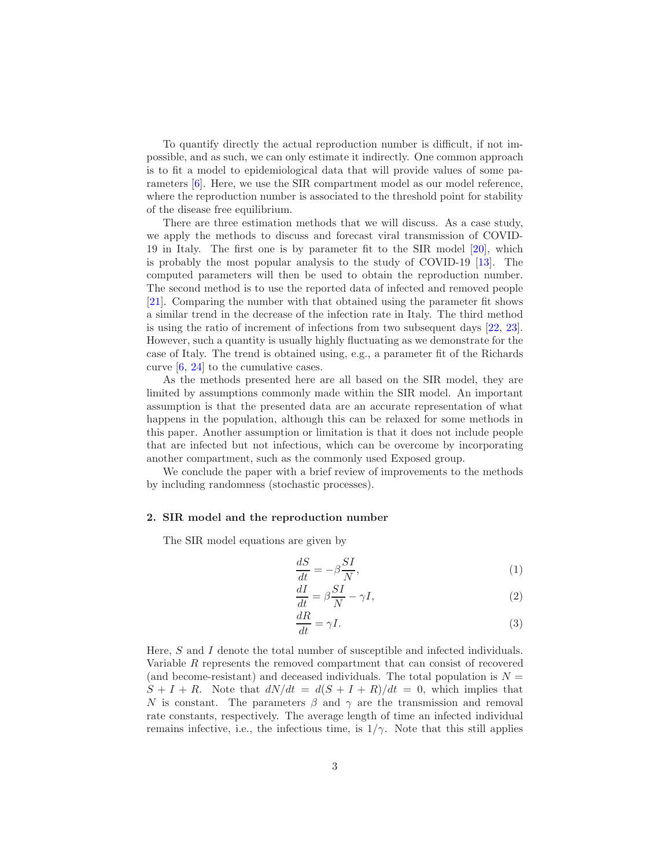To quantify directly the actual reproduction number is difficult, if not impossible, and as such, we can only estimate it indirectly. One common approach is to fit a model to epidemiological data that will provide values of some parameters [\[6\]](#page-9-5). Here, we use the SIR compartment model as our model reference, where the reproduction number is associated to the threshold point for stability of the disease free equilibrium.

There are three estimation methods that we will discuss. As a case study, we apply the methods to discuss and forecast viral transmission of COVID-19 in Italy. The first one is by parameter fit to the SIR model [\[20\]](#page-11-1), which is probably the most popular analysis to the study of COVID-19 [\[13\]](#page-10-6). The computed parameters will then be used to obtain the reproduction number. The second method is to use the reported data of infected and removed people [\[21\]](#page-11-2). Comparing the number with that obtained using the parameter fit shows a similar trend in the decrease of the infection rate in Italy. The third method is using the ratio of increment of infections from two subsequent days [\[22,](#page-11-3) [23\]](#page-11-4). However, such a quantity is usually highly fluctuating as we demonstrate for the case of Italy. The trend is obtained using, e.g., a parameter fit of the Richards curve [\[6](#page-9-5), [24](#page-11-5)] to the cumulative cases.

As the methods presented here are all based on the SIR model, they are limited by assumptions commonly made within the SIR model. An important assumption is that the presented data are an accurate representation of what happens in the population, although this can be relaxed for some methods in this paper. Another assumption or limitation is that it does not include people that are infected but not infectious, which can be overcome by incorporating another compartment, such as the commonly used Exposed group.

We conclude the paper with a brief review of improvements to the methods by including randomness (stochastic processes).

## 2. SIR model and the reproduction number

The SIR model equations are given by

<span id="page-2-1"></span>
$$
\frac{dS}{dt} = -\beta \frac{SI}{N},\tag{1}
$$

<span id="page-2-0"></span>
$$
\frac{dI}{dt} = \beta \frac{SI}{N} - \gamma I,\tag{2}
$$

<span id="page-2-2"></span>
$$
\frac{dR}{dt} = \gamma I. \tag{3}
$$

Here, S and I denote the total number of susceptible and infected individuals. Variable R represents the removed compartment that can consist of recovered (and become-resistant) and deceased individuals. The total population is  $N =$  $S + I + R$ . Note that  $dN/dt = d(S + I + R)/dt = 0$ , which implies that N is constant. The parameters  $\beta$  and  $\gamma$  are the transmission and removal rate constants, respectively. The average length of time an infected individual remains infective, i.e., the infectious time, is  $1/\gamma$ . Note that this still applies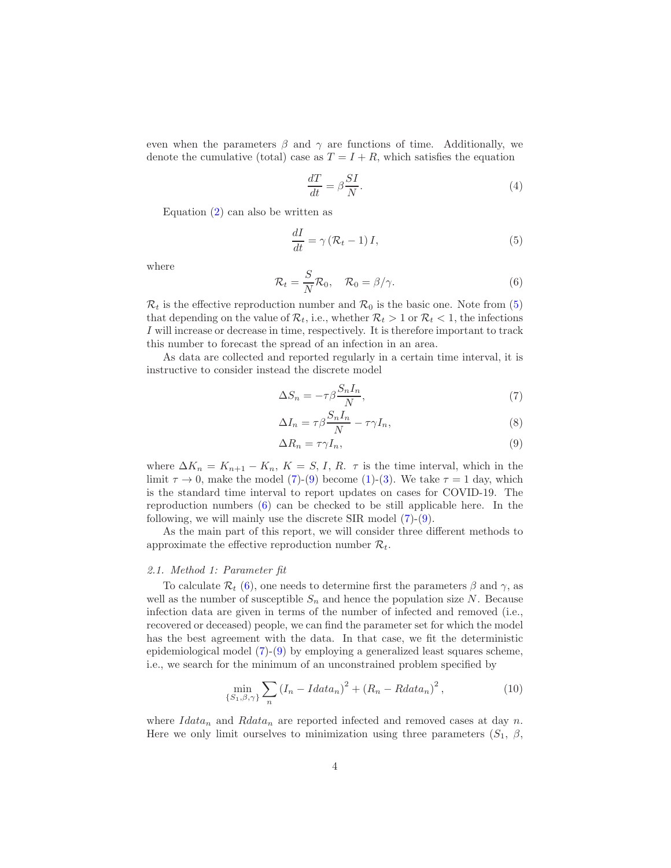even when the parameters  $\beta$  and  $\gamma$  are functions of time. Additionally, we denote the cumulative (total) case as  $T = I + R$ , which satisfies the equation

<span id="page-3-5"></span><span id="page-3-0"></span>
$$
\frac{dT}{dt} = \beta \frac{SI}{N}.\tag{4}
$$

Equation  $(2)$  can also be written as

$$
\frac{dI}{dt} = \gamma \left( \mathcal{R}_t - 1 \right) I,\tag{5}
$$

<span id="page-3-3"></span>where

$$
\mathcal{R}_t = \frac{S}{N} \mathcal{R}_0, \quad \mathcal{R}_0 = \beta / \gamma.
$$
 (6)

 $\mathcal{R}_t$  is the effective reproduction number and  $\mathcal{R}_0$  is the basic one. Note from [\(5\)](#page-3-0) that depending on the value of  $\mathcal{R}_t$ , i.e., whether  $\mathcal{R}_t > 1$  or  $\mathcal{R}_t < 1$ , the infections I will increase or decrease in time, respectively. It is therefore important to track this number to forecast the spread of an infection in an area.

As data are collected and reported regularly in a certain time interval, it is instructive to consider instead the discrete model

<span id="page-3-1"></span>
$$
\Delta S_n = -\tau \beta \frac{S_n I_n}{N},\tag{7}
$$

<span id="page-3-4"></span>
$$
\Delta I_n = \tau \beta \frac{S_n I_n}{N} - \tau \gamma I_n,\tag{8}
$$

<span id="page-3-2"></span>
$$
\Delta R_n = \tau \gamma I_n,\tag{9}
$$

where  $\Delta K_n = K_{n+1} - K_n$ ,  $K = S, I, R$ .  $\tau$  is the time interval, which in the limit  $\tau \to 0$ , make the model [\(7\)](#page-3-1)-[\(9\)](#page-3-2) become [\(1\)](#page-2-1)-[\(3\)](#page-2-2). We take  $\tau = 1$  day, which is the standard time interval to report updates on cases for COVID-19. The reproduction numbers [\(6\)](#page-3-3) can be checked to be still applicable here. In the following, we will mainly use the discrete SIR model [\(7\)](#page-3-1)-[\(9\)](#page-3-2).

As the main part of this report, we will consider three different methods to approximate the effective reproduction number  $\mathcal{R}_t$ .

#### 2.1. Method 1: Parameter fit

To calculate  $\mathcal{R}_t$  [\(6\)](#page-3-3), one needs to determine first the parameters  $\beta$  and  $\gamma$ , as well as the number of susceptible  $S_n$  and hence the population size N. Because infection data are given in terms of the number of infected and removed (i.e., recovered or deceased) people, we can find the parameter set for which the model has the best agreement with the data. In that case, we fit the deterministic epidemiological model [\(7\)](#page-3-1)-[\(9\)](#page-3-2) by employing a generalized least squares scheme, i.e., we search for the minimum of an unconstrained problem specified by

$$
\min_{\{S_1, \beta, \gamma\}} \sum_n \left( I_n - I \, \text{data}_n \right)^2 + \left( R_n - \text{R} \, \text{data}_n \right)^2,\tag{10}
$$

where  $Idata_n$  and  $Rdata_n$  are reported infected and removed cases at day n. Here we only limit ourselves to minimization using three parameters  $(S_1, \beta, \beta)$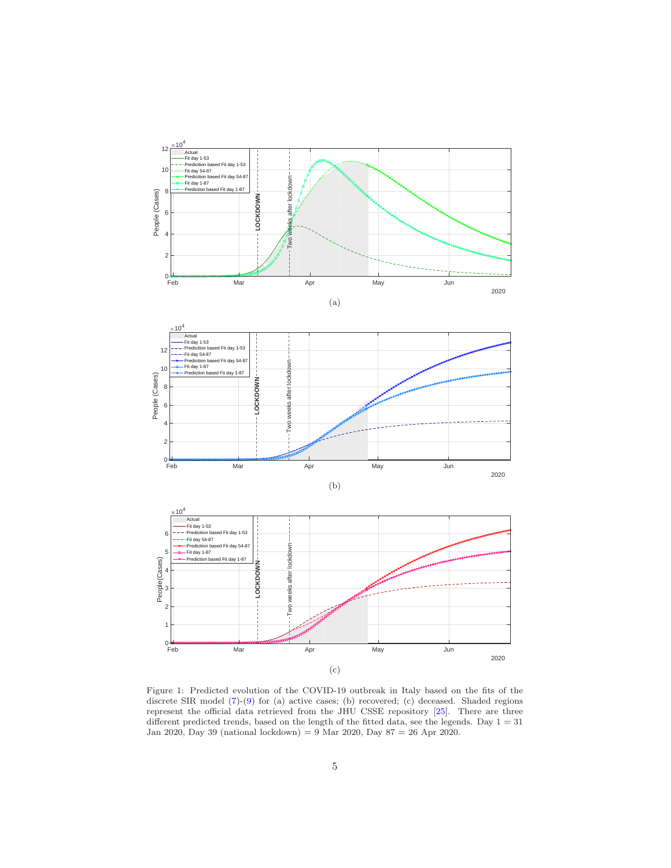<span id="page-4-0"></span>

Figure 1: Predicted evolution of the COVID-19 outbreak in Italy based on the fits of the discrete SIR model [\(7\)](#page-3-1)-[\(9\)](#page-3-2) for (a) active cases; (b) recovered; (c) deceased. Shaded regions represent the official data retrieved from the JHU CSSE repository [\[25](#page-11-6)]. There are three different predicted trends, based on the length of the fitted data, see the legends. Day  $1 = 31$ Jan 2020, Day 39 (national lockdown) = 9 Mar 2020, Day 87 = 26 Apr 2020.

(c)

2020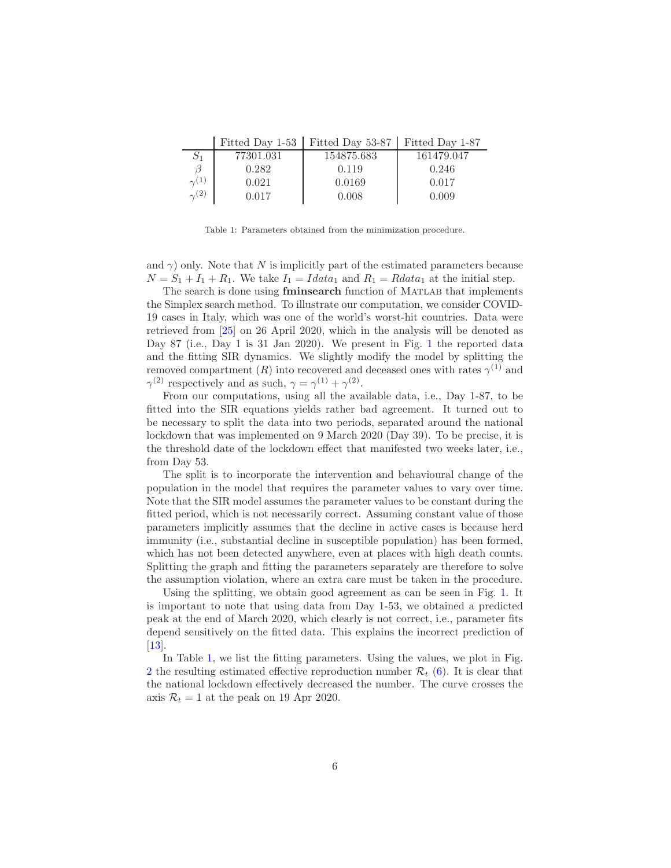<span id="page-5-0"></span>

|              | Fitted Day 1-53   Fitted Day 53-87   Fitted Day 1-87 |           |
|--------------|------------------------------------------------------|-----------|
| $-55001.091$ | $1 \times 10 \times 200$                             | 101170017 |

| $S_1$          | 77301.031 | 154875.683 | 161479.047 |
|----------------|-----------|------------|------------|
|                | 0.282     | 0.119      | 0.246      |
| $\gamma^{(1)}$ | 0.021     | 0.0169     | 0.017      |
| $\gamma^{(2)}$ | $0.017\,$ | 0.008      | 0.009      |

Table 1: Parameters obtained from the minimization procedure.

and  $\gamma$ ) only. Note that N is implicitly part of the estimated parameters because  $N = S_1 + I_1 + R_1$ . We take  $I_1 = I \cdot \text{data}_1$  and  $R_1 = \text{R} \cdot \text{data}_1$  at the initial step.

The search is done using **fminsearch** function of MATLAB that implements the Simplex search method. To illustrate our computation, we consider COVID-19 cases in Italy, which was one of the world's worst-hit countries. Data were retrieved from [\[25\]](#page-11-6) on 26 April 2020, which in the analysis will be denoted as Day 87 (i.e., Day [1](#page-4-0) is 31 Jan 2020). We present in Fig. 1 the reported data and the fitting SIR dynamics. We slightly modify the model by splitting the removed compartment  $(R)$  into recovered and deceased ones with rates  $\gamma^{(1)}$  and  $\gamma^{(2)}$  respectively and as such,  $\gamma = \gamma^{(1)} + \gamma^{(2)}$ .

From our computations, using all the available data, i.e., Day 1-87, to be fitted into the SIR equations yields rather bad agreement. It turned out to be necessary to split the data into two periods, separated around the national lockdown that was implemented on 9 March 2020 (Day 39). To be precise, it is the threshold date of the lockdown effect that manifested two weeks later, i.e., from Day 53.

The split is to incorporate the intervention and behavioural change of the population in the model that requires the parameter values to vary over time. Note that the SIR model assumes the parameter values to be constant during the fitted period, which is not necessarily correct. Assuming constant value of those parameters implicitly assumes that the decline in active cases is because herd immunity (i.e., substantial decline in susceptible population) has been formed, which has not been detected anywhere, even at places with high death counts. Splitting the graph and fitting the parameters separately are therefore to solve the assumption violation, where an extra care must be taken in the procedure.

Using the splitting, we obtain good agreement as can be seen in Fig. [1.](#page-4-0) It is important to note that using data from Day 1-53, we obtained a predicted peak at the end of March 2020, which clearly is not correct, i.e., parameter fits depend sensitively on the fitted data. This explains the incorrect prediction of [\[13\]](#page-10-6).

In Table [1,](#page-5-0) we list the fitting parameters. Using the values, we plot in Fig. [2](#page-6-0) the resulting estimated effective reproduction number  $\mathcal{R}_t$  [\(6\)](#page-3-3). It is clear that the national lockdown effectively decreased the number. The curve crosses the axis  $\mathcal{R}_t = 1$  at the peak on 19 Apr 2020.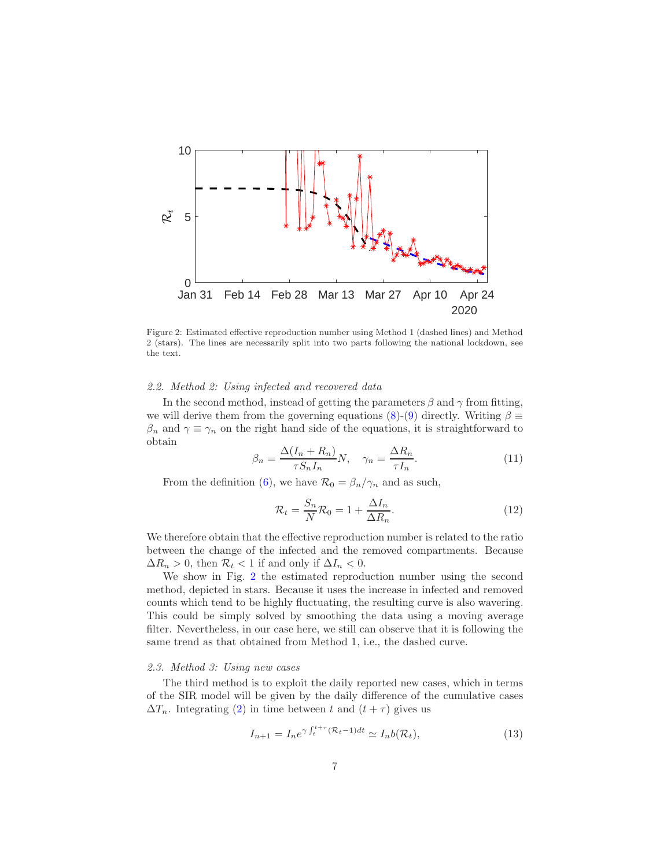<span id="page-6-0"></span>

Figure 2: Estimated effective reproduction number using Method 1 (dashed lines) and Method 2 (stars). The lines are necessarily split into two parts following the national lockdown, see the text.

#### 2.2. Method 2: Using infected and recovered data

In the second method, instead of getting the parameters  $\beta$  and  $\gamma$  from fitting, we will derive them from the governing equations [\(8\)](#page-3-4)-[\(9\)](#page-3-2) directly. Writing  $\beta \equiv$  $\beta_n$  and  $\gamma \equiv \gamma_n$  on the right hand side of the equations, it is straightforward to obtain

$$
\beta_n = \frac{\Delta(I_n + R_n)}{\tau S_n I_n} N, \quad \gamma_n = \frac{\Delta R_n}{\tau I_n}.
$$
\n(11)

From the definition [\(6\)](#page-3-3), we have  $\mathcal{R}_0 = \beta_n / \gamma_n$  and as such,

$$
\mathcal{R}_t = \frac{S_n}{N} \mathcal{R}_0 = 1 + \frac{\Delta I_n}{\Delta R_n}.
$$
\n(12)

We therefore obtain that the effective reproduction number is related to the ratio between the change of the infected and the removed compartments. Because  $\Delta R_n > 0$ , then  $\mathcal{R}_t < 1$  if and only if  $\Delta I_n < 0$ .

We show in Fig. [2](#page-6-0) the estimated reproduction number using the second method, depicted in stars. Because it uses the increase in infected and removed counts which tend to be highly fluctuating, the resulting curve is also wavering. This could be simply solved by smoothing the data using a moving average filter. Nevertheless, in our case here, we still can observe that it is following the same trend as that obtained from Method 1, i.e., the dashed curve.

# 2.3. Method 3: Using new cases

The third method is to exploit the daily reported new cases, which in terms of the SIR model will be given by the daily difference of the cumulative cases  $\Delta T_n$ . Integrating [\(2\)](#page-2-0) in time between t and  $(t + \tau)$  gives us

$$
I_{n+1} = I_n e^{\gamma \int_t^{t+\tau} (\mathcal{R}_t - 1) dt} \simeq I_n b(\mathcal{R}_t),
$$
\n(13)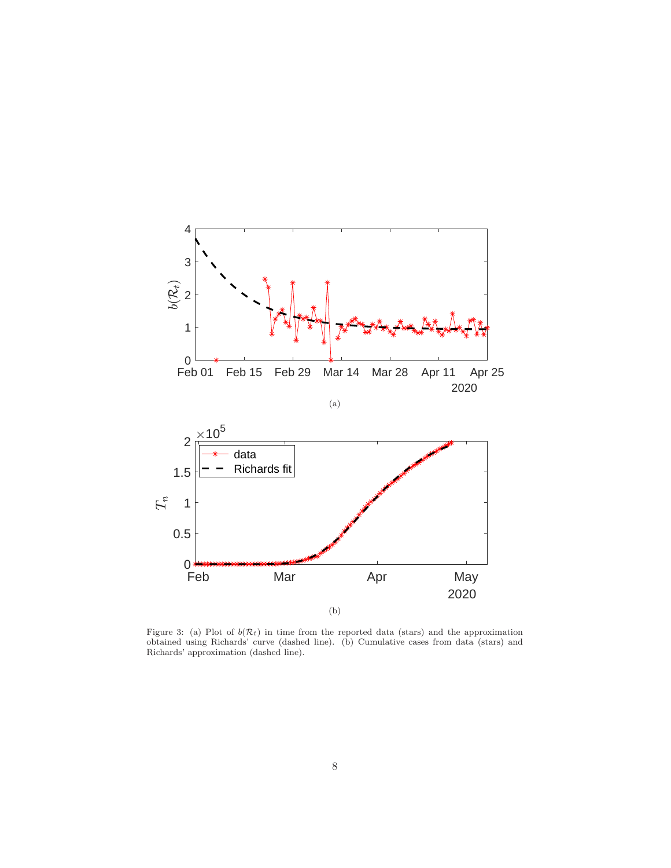<span id="page-7-0"></span>

Figure 3: (a) Plot of  $b(\mathcal{R}_t)$  in time from the reported data (stars) and the approximation obtained using Richards' curve (dashed line). (b) Cumulative cases from data (stars) and Richards' approximation (dashed line).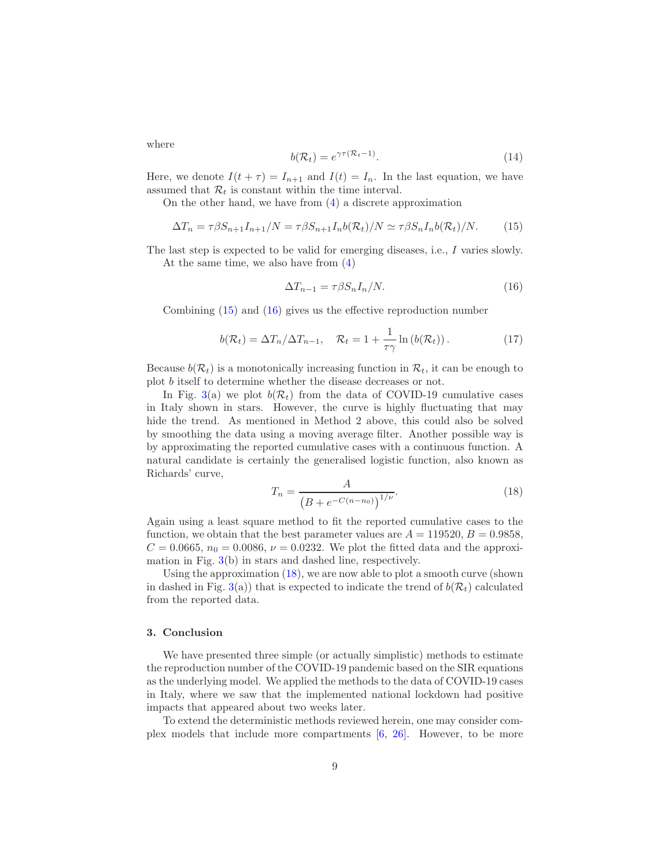<span id="page-8-0"></span>
$$
b(\mathcal{R}_t) = e^{\gamma \tau (\mathcal{R}_t - 1)}.
$$
\n(14)

Here, we denote  $I(t + \tau) = I_{n+1}$  and  $I(t) = I_n$ . In the last equation, we have assumed that  $\mathcal{R}_t$  is constant within the time interval.

On the other hand, we have from [\(4\)](#page-3-5) a discrete approximation

$$
\Delta T_n = \tau \beta S_{n+1} I_{n+1} / N = \tau \beta S_{n+1} I_n b(\mathcal{R}_t) / N \simeq \tau \beta S_n I_n b(\mathcal{R}_t) / N. \tag{15}
$$

The last step is expected to be valid for emerging diseases, i.e., I varies slowly. At the same time, we also have from [\(4\)](#page-3-5)

<span id="page-8-1"></span>
$$
\Delta T_{n-1} = \tau \beta S_n I_n / N. \tag{16}
$$

Combining [\(15\)](#page-8-0) and [\(16\)](#page-8-1) gives us the effective reproduction number

$$
b(\mathcal{R}_t) = \Delta T_n / \Delta T_{n-1}, \quad \mathcal{R}_t = 1 + \frac{1}{\tau \gamma} \ln \left( b(\mathcal{R}_t) \right). \tag{17}
$$

Because  $b(\mathcal{R}_t)$  is a monotonically increasing function in  $\mathcal{R}_t$ , it can be enough to plot b itself to determine whether the disease decreases or not.

In Fig. [3\(](#page-7-0)a) we plot  $b(\mathcal{R}_t)$  from the data of COVID-19 cumulative cases in Italy shown in stars. However, the curve is highly fluctuating that may hide the trend. As mentioned in Method 2 above, this could also be solved by smoothing the data using a moving average filter. Another possible way is by approximating the reported cumulative cases with a continuous function. A natural candidate is certainly the generalised logistic function, also known as Richards' curve,

<span id="page-8-2"></span>
$$
T_n = \frac{A}{\left(B + e^{-C(n - n_0)}\right)^{1/\nu}}.\tag{18}
$$

Again using a least square method to fit the reported cumulative cases to the function, we obtain that the best parameter values are  $A = 119520, B = 0.9858$ ,  $C = 0.0665, n_0 = 0.0086, \nu = 0.0232$ . We plot the fitted data and the approximation in Fig. [3\(](#page-7-0)b) in stars and dashed line, respectively.

Using the approximation  $(18)$ , we are now able to plot a smooth curve (shown in dashed in Fig. [3\(](#page-7-0)a)) that is expected to indicate the trend of  $b(\mathcal{R}_t)$  calculated from the reported data.

## 3. Conclusion

We have presented three simple (or actually simplistic) methods to estimate the reproduction number of the COVID-19 pandemic based on the SIR equations as the underlying model. We applied the methods to the data of COVID-19 cases in Italy, where we saw that the implemented national lockdown had positive impacts that appeared about two weeks later.

To extend the deterministic methods reviewed herein, one may consider complex models that include more compartments [\[6,](#page-9-5) [26](#page-11-7)]. However, to be more

where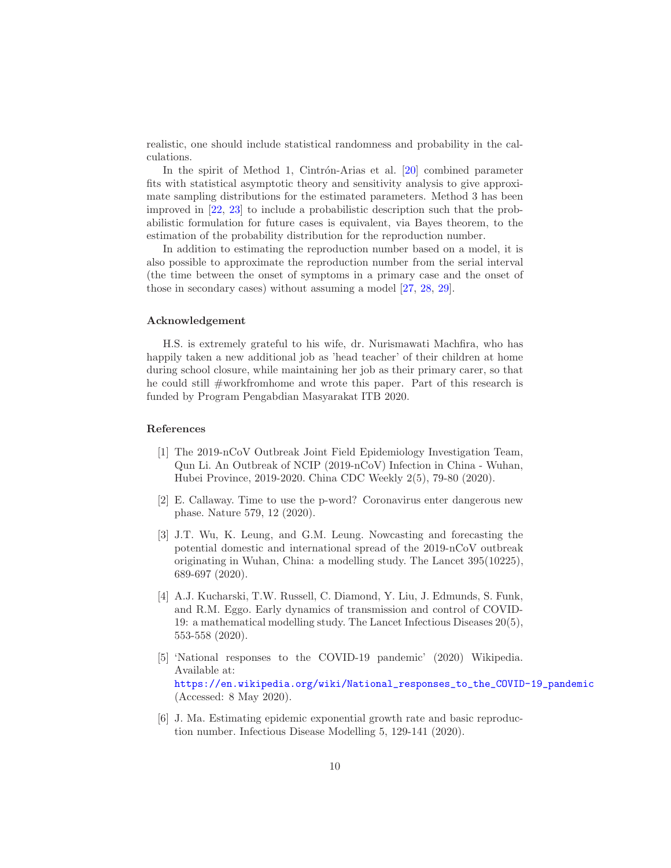realistic, one should include statistical randomness and probability in the calculations.

In the spirit of Method 1, Cintrón-Arias et al.  $[20]$  combined parameter fits with statistical asymptotic theory and sensitivity analysis to give approximate sampling distributions for the estimated parameters. Method 3 has been improved in [\[22,](#page-11-3) [23](#page-11-4)] to include a probabilistic description such that the probabilistic formulation for future cases is equivalent, via Bayes theorem, to the estimation of the probability distribution for the reproduction number.

In addition to estimating the reproduction number based on a model, it is also possible to approximate the reproduction number from the serial interval (the time between the onset of symptoms in a primary case and the onset of those in secondary cases) without assuming a model [\[27,](#page-11-8) [28,](#page-11-9) [29\]](#page-11-10).

## Acknowledgement

H.S. is extremely grateful to his wife, dr. Nurismawati Machfira, who has happily taken a new additional job as 'head teacher' of their children at home during school closure, while maintaining her job as their primary carer, so that he could still #workfromhome and wrote this paper. Part of this research is funded by Program Pengabdian Masyarakat ITB 2020.

# References

- <span id="page-9-0"></span>[1] The 2019-nCoV Outbreak Joint Field Epidemiology Investigation Team, Qun Li. An Outbreak of NCIP (2019-nCoV) Infection in China - Wuhan, Hubei Province, 2019-2020. China CDC Weekly 2(5), 79-80 (2020).
- <span id="page-9-1"></span>[2] E. Callaway. Time to use the p-word? Coronavirus enter dangerous new phase. Nature 579, 12 (2020).
- <span id="page-9-2"></span>[3] J.T. Wu, K. Leung, and G.M. Leung. Nowcasting and forecasting the potential domestic and international spread of the 2019-nCoV outbreak originating in Wuhan, China: a modelling study. The Lancet 395(10225), 689-697 (2020).
- <span id="page-9-3"></span>[4] A.J. Kucharski, T.W. Russell, C. Diamond, Y. Liu, J. Edmunds, S. Funk, and R.M. Eggo. Early dynamics of transmission and control of COVID-19: a mathematical modelling study. The Lancet Infectious Diseases 20(5), 553-558 (2020).
- <span id="page-9-4"></span>[5] 'National responses to the COVID-19 pandemic' (2020) Wikipedia. Available at: [https://en.wikipedia.org/wiki/National\\_responses\\_to\\_the\\_COVID-19\\_pandemic](https://en.wikipedia.org/wiki/National_responses_to_the_COVID-19_pandemic) (Accessed: 8 May 2020).
- <span id="page-9-5"></span>[6] J. Ma. Estimating epidemic exponential growth rate and basic reproduction number. Infectious Disease Modelling 5, 129-141 (2020).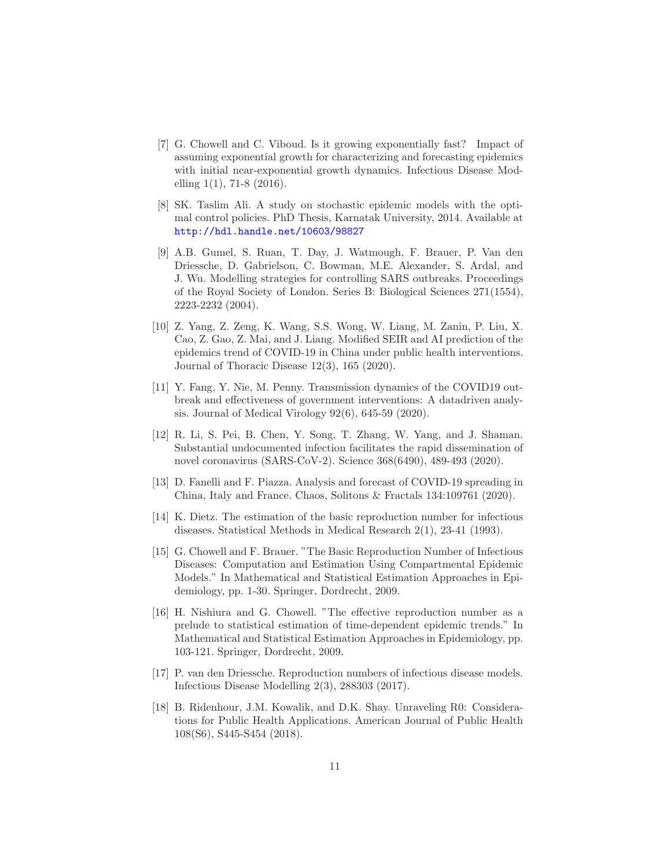- <span id="page-10-0"></span>[7] G. Chowell and C. Viboud. Is it growing exponentially fast? Impact of assuming exponential growth for characterizing and forecasting epidemics with initial near-exponential growth dynamics. Infectious Disease Modelling  $1(1)$ , 71-8  $(2016)$ .
- <span id="page-10-1"></span>[8] SK. Taslim Ali. A study on stochastic epidemic models with the optimal control policies. PhD Thesis, Karnatak University, 2014. Available at <http://hdl.handle.net/10603/98827>
- <span id="page-10-2"></span>[9] A.B. Gumel, S. Ruan, T. Day, J. Watmough, F. Brauer, P. Van den Driessche, D. Gabrielson, C. Bowman, M.E. Alexander, S. Ardal, and J. Wu. Modelling strategies for controlling SARS outbreaks. Proceedings of the Royal Society of London. Series B: Biological Sciences 271(1554), 2223-2232 (2004).
- <span id="page-10-3"></span>[10] Z. Yang, Z. Zeng, K. Wang, S.S. Wong, W. Liang, M. Zanin, P. Liu, X. Cao, Z. Gao, Z. Mai, and J. Liang. Modified SEIR and AI prediction of the epidemics trend of COVID-19 in China under public health interventions. Journal of Thoracic Disease 12(3), 165 (2020).
- <span id="page-10-4"></span>[11] Y. Fang, Y. Nie, M. Penny. Transmission dynamics of the COVID19 outbreak and effectiveness of government interventions: A datadriven analysis. Journal of Medical Virology 92(6), 645-59 (2020).
- <span id="page-10-5"></span>[12] R. Li, S. Pei, B. Chen, Y. Song, T. Zhang, W. Yang, and J. Shaman. Substantial undocumented infection facilitates the rapid dissemination of novel coronavirus (SARS-CoV-2). Science 368(6490), 489-493 (2020).
- <span id="page-10-6"></span>[13] D. Fanelli and F. Piazza. Analysis and forecast of COVID-19 spreading in China, Italy and France. Chaos, Solitons & Fractals 134:109761 (2020).
- <span id="page-10-7"></span>[14] K. Dietz. The estimation of the basic reproduction number for infectious diseases. Statistical Methods in Medical Research 2(1), 23-41 (1993).
- <span id="page-10-8"></span>[15] G. Chowell and F. Brauer. "The Basic Reproduction Number of Infectious Diseases: Computation and Estimation Using Compartmental Epidemic Models." In Mathematical and Statistical Estimation Approaches in Epidemiology, pp. 1-30. Springer, Dordrecht, 2009.
- <span id="page-10-9"></span>[16] H. Nishiura and G. Chowell. "The effective reproduction number as a prelude to statistical estimation of time-dependent epidemic trends." In Mathematical and Statistical Estimation Approaches in Epidemiology, pp. 103-121. Springer, Dordrecht, 2009.
- <span id="page-10-10"></span>[17] P. van den Driessche. Reproduction numbers of infectious disease models. Infectious Disease Modelling 2(3), 288303 (2017).
- <span id="page-10-11"></span>[18] B. Ridenhour, J.M. Kowalik, and D.K. Shay. Unraveling R0: Considerations for Public Health Applications. American Journal of Public Health 108(S6), S445-S454 (2018).